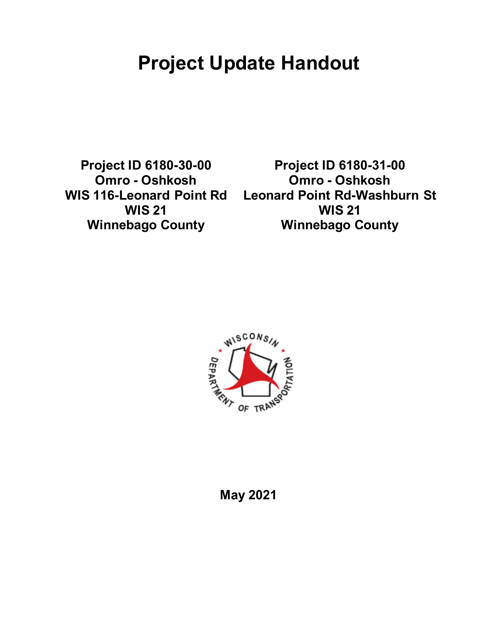# **Project Update Handout**

**Project ID 6180-30-00 Omro - Oshkosh WIS 116-Leonard Point Rd WIS 21 Winnebago County**

**Project ID 6180-31-00 Omro - Oshkosh Leonard Point Rd-Washburn St WIS 21 Winnebago County**



### **May 2021**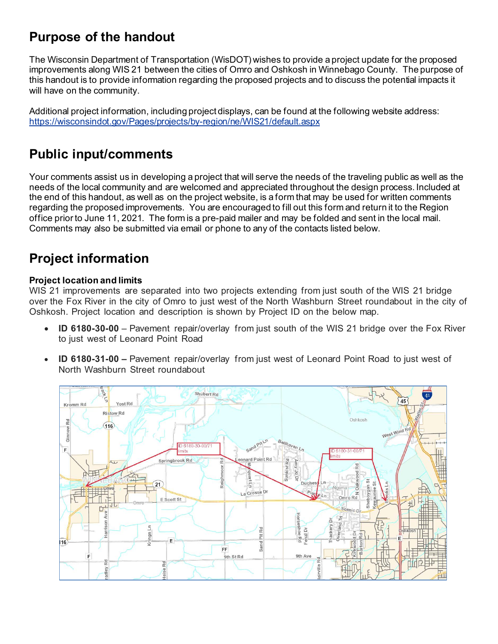# **Purpose of the handout**

The Wisconsin Department of Transportation (WisDOT) wishes to provide a project update for the proposed improvements along WIS 21 between the cities of Omro and Oshkosh in Winnebago County. The purpose of this handout is to provide information regarding the proposed projects and to discuss the potential impacts it will have on the community.

Additional project information, including project displays, can be found at the following website address: <https://wisconsindot.gov/Pages/projects/by-region/ne/WIS21/default.aspx>

### **Public input/comments**

Your comments assist us in developing a project that will serve the needs of the traveling public as well as the needs of the local community and are welcomed and appreciated throughout the design process. Included at the end of this handout, as well as on the project website, is a form that may be used for written comments regarding the proposed improvements. You are encouraged to fill out this form and return it to the Region office prior to June 11, 2021. The form is a pre-paid mailer and may be folded and sent in the local mail. Comments may also be submitted via email or phone to any of the contacts listed below.

### **Project information**

#### **Project location and limits**

WIS 21 improvements are separated into two projects extending from just south of the WIS 21 bridge over the Fox River in the city of Omro to just west of the North Washburn Street roundabout in the city of Oshkosh. Project location and description is shown by Project ID on the below map.

- **ID 6180-30-00** Pavement repair/overlay from just south of the WIS 21 bridge over the Fox River to just west of Leonard Point Road
- **ID 6180-31-00 –** Pavement repair/overlay from just west of Leonard Point Road to just west of North Washburn Street roundabout

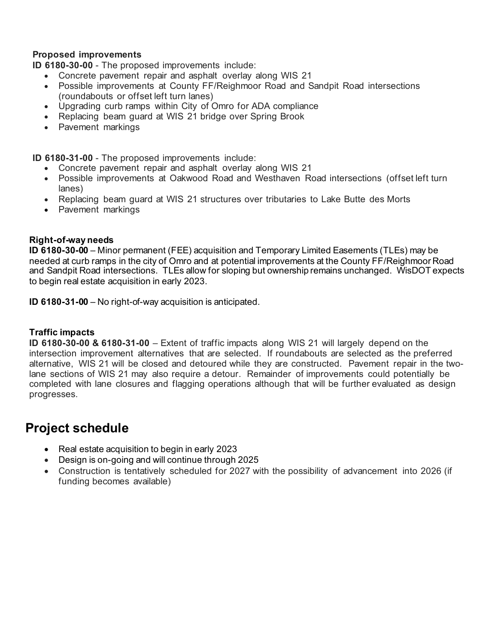#### **Proposed improvements**

**ID 6180-30-00** - The proposed improvements include:

- Concrete pavement repair and asphalt overlay along WIS 21
- Possible improvements at County FF/Reighmoor Road and Sandpit Road intersections (roundabouts or offset left turn lanes)
- Upgrading curb ramps within City of Omro for ADA compliance
- Replacing beam guard at WIS 21 bridge over Spring Brook
- Pavement markings

**ID 6180-31-00** - The proposed improvements include:

- Concrete pavement repair and asphalt overlay along WIS 21
- Possible improvements at Oakwood Road and Westhaven Road intersections (offset left turn lanes)
- Replacing beam guard at WIS 21 structures over tributaries to Lake Butte des Morts
- Pavement markings

#### **Right-of-way needs**

**ID 6180-30-00** – Minor permanent (FEE) acquisition and Temporary Limited Easements (TLEs) may be needed at curb ramps in the city of Omro and at potential improvements at the County FF/Reighmoor Road and Sandpit Road intersections. TLEs allow for sloping but ownership remains unchanged. WisDOT expects to begin real estate acquisition in early 2023.

**ID 6180-31-00** – No right-of-way acquisition is anticipated.

#### **Traffic impacts**

**ID 6180-30-00 & 6180-31-00** – Extent of traffic impacts along WIS 21 will largely depend on the intersection improvement alternatives that are selected. If roundabouts are selected as the preferred alternative, WIS 21 will be closed and detoured while they are constructed. Pavement repair in the twolane sections of WIS 21 may also require a detour. Remainder of improvements could potentially be completed with lane closures and flagging operations although that will be further evaluated as design progresses.

### **Project schedule**

- Real estate acquisition to begin in early 2023
- Design is on-going and will continue through 2025
- Construction is tentatively scheduled for 2027 with the possibility of advancement into 2026 (if funding becomes available)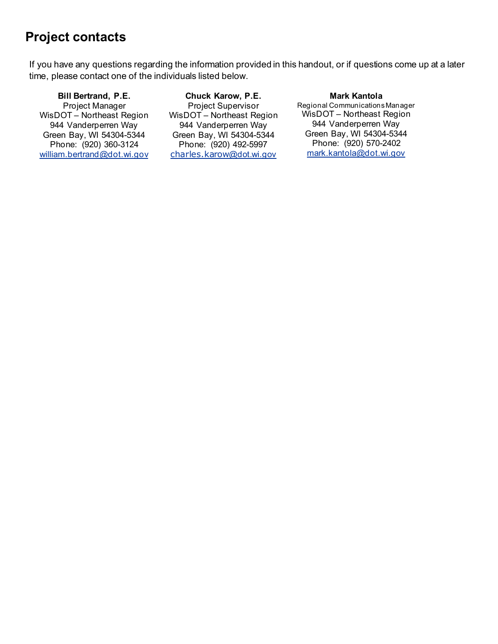## **Project contacts**

If you have any questions regarding the information provided in this handout, or if questions come up at a later time, please contact one of the individuals listed below.

**Bill Bertrand, P.E.** Project Manager WisDOT – Northeast Region 944 Vanderperren Way Green Bay, WI 54304-5344 Phone: (920) 360-3124 [william.bertrand@dot.wi.gov](mailto:william.bertrand@dot.wi.gov)

**Chuck Karow, P.E.** Project Supervisor WisDOT – Northeast Region 944 Vanderperren Way Green Bay, WI 54304-5344 Phone: (920) 492-5997 charles.karow[@dot.wi.gov](mailto:charles.karow@dot.state.wi.us)

#### **Mark Kantola**

Regional Communications Manager WisDOT – Northeast Region 944 Vanderperren Way Green Bay, WI 54304-5344 Phone: (920) 570-2402 [mark.kantola@dot.wi.gov](mailto:mark.kantola@dot.wi.gov)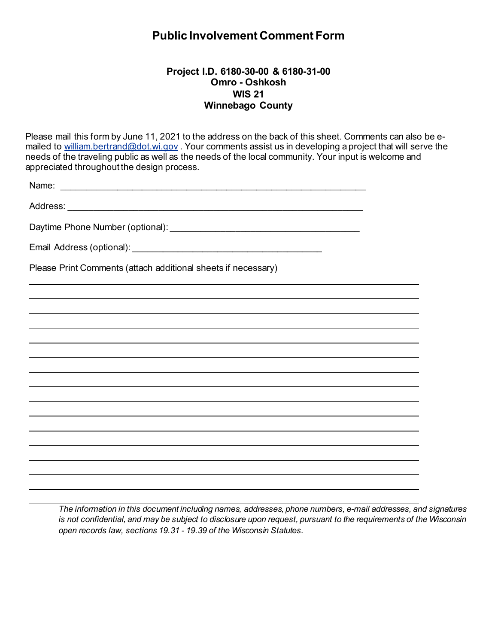### **Public Involvement Comment Form**

#### **Project I.D. 6180-30-00 & 6180-31-00 Omro - Oshkosh WIS 21 Winnebago County**

Please mail this form by June 11, 2021 to the address on the back of this sheet. Comments can also be emailed to [william.bertrand@dot.wi.gov](mailto:william.bertrand@dot.wi.gov). Your comments assist us in developing a project that will serve the needs of the traveling public as well as the needs of the local community. Your input is welcome and appreciated throughout the design process.

| Name:                                                         |
|---------------------------------------------------------------|
|                                                               |
|                                                               |
|                                                               |
| Please Print Comments (attach additional sheets if necessary) |
|                                                               |
|                                                               |
|                                                               |
|                                                               |
|                                                               |
|                                                               |
|                                                               |
|                                                               |
|                                                               |
|                                                               |
|                                                               |

*The information in this document including names, addresses, phone numbers, e-mail addresses, and signatures is not confidential, and may be subject to disclosure upon request, pursuant to the requirements of the Wisconsin open records law, sections 19.31 - 19.39 of the Wisconsin Statutes.*